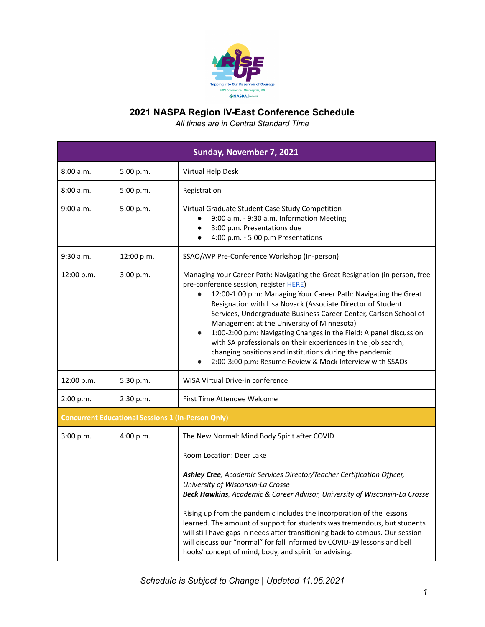

| Sunday, November 7, 2021 |                                                           |                                                                                                                                                                                                                                                                                                                                                                                                                                                                                                                                                                                                                                                        |
|--------------------------|-----------------------------------------------------------|--------------------------------------------------------------------------------------------------------------------------------------------------------------------------------------------------------------------------------------------------------------------------------------------------------------------------------------------------------------------------------------------------------------------------------------------------------------------------------------------------------------------------------------------------------------------------------------------------------------------------------------------------------|
| 8:00 a.m.                | 5:00 p.m.                                                 | Virtual Help Desk                                                                                                                                                                                                                                                                                                                                                                                                                                                                                                                                                                                                                                      |
| 8:00 a.m.                | 5:00 p.m.                                                 | Registration                                                                                                                                                                                                                                                                                                                                                                                                                                                                                                                                                                                                                                           |
| 9:00 a.m.                | 5:00 p.m.                                                 | Virtual Graduate Student Case Study Competition<br>9:00 a.m. - 9:30 a.m. Information Meeting<br>3:00 p.m. Presentations due<br>4:00 p.m. - 5:00 p.m Presentations                                                                                                                                                                                                                                                                                                                                                                                                                                                                                      |
| 9:30 a.m.                | 12:00 p.m.                                                | SSAO/AVP Pre-Conference Workshop (In-person)                                                                                                                                                                                                                                                                                                                                                                                                                                                                                                                                                                                                           |
| 12:00 p.m.               | 3:00 p.m.                                                 | Managing Your Career Path: Navigating the Great Resignation (in person, free<br>pre-conference session, register HERE)<br>12:00-1:00 p.m: Managing Your Career Path: Navigating the Great<br>Resignation with Lisa Novack (Associate Director of Student<br>Services, Undergraduate Business Career Center, Carlson School of<br>Management at the University of Minnesota)<br>1:00-2:00 p.m: Navigating Changes in the Field: A panel discussion<br>$\bullet$<br>with SA professionals on their experiences in the job search,<br>changing positions and institutions during the pandemic<br>2:00-3:00 p.m: Resume Review & Mock Interview with SSAOs |
| 12:00 p.m.               | 5:30 p.m.                                                 | WISA Virtual Drive-in conference                                                                                                                                                                                                                                                                                                                                                                                                                                                                                                                                                                                                                       |
| 2:00 p.m.                | 2:30 p.m.                                                 | First Time Attendee Welcome                                                                                                                                                                                                                                                                                                                                                                                                                                                                                                                                                                                                                            |
|                          | <b>Concurrent Educational Sessions 1 (In-Person Only)</b> |                                                                                                                                                                                                                                                                                                                                                                                                                                                                                                                                                                                                                                                        |
| 3:00 p.m.                | 4:00 p.m.                                                 | The New Normal: Mind Body Spirit after COVID<br>Room Location: Deer Lake<br>Ashley Cree, Academic Services Director/Teacher Certification Officer,<br>University of Wisconsin-La Crosse<br>Beck Hawkins, Academic & Career Advisor, University of Wisconsin-La Crosse<br>Rising up from the pandemic includes the incorporation of the lessons<br>learned. The amount of support for students was tremendous, but students<br>will still have gaps in needs after transitioning back to campus. Our session<br>will discuss our "normal" for fall informed by COVID-19 lessons and bell<br>hooks' concept of mind, body, and spirit for advising.      |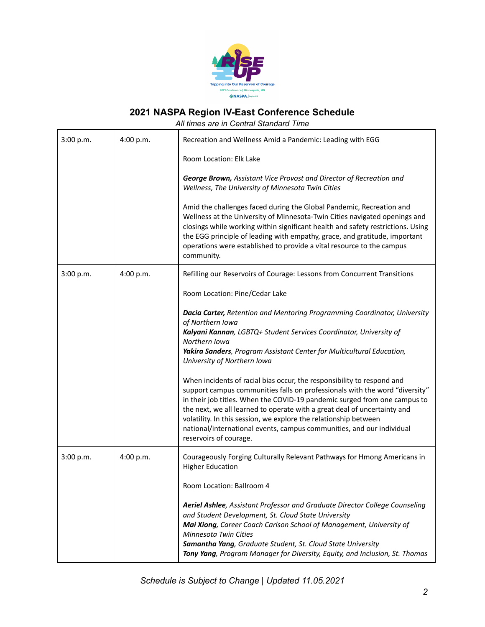

| 3:00 p.m. | 4:00 p.m. | Recreation and Wellness Amid a Pandemic: Leading with EGG                                                                                                                                                                                                                                                                                                                                                                                                    |
|-----------|-----------|--------------------------------------------------------------------------------------------------------------------------------------------------------------------------------------------------------------------------------------------------------------------------------------------------------------------------------------------------------------------------------------------------------------------------------------------------------------|
|           |           | Room Location: Elk Lake                                                                                                                                                                                                                                                                                                                                                                                                                                      |
|           |           | George Brown, Assistant Vice Provost and Director of Recreation and<br>Wellness, The University of Minnesota Twin Cities                                                                                                                                                                                                                                                                                                                                     |
|           |           | Amid the challenges faced during the Global Pandemic, Recreation and<br>Wellness at the University of Minnesota-Twin Cities navigated openings and<br>closings while working within significant health and safety restrictions. Using<br>the EGG principle of leading with empathy, grace, and gratitude, important<br>operations were established to provide a vital resource to the campus<br>community.                                                   |
| 3:00 p.m. | 4:00 p.m. | Refilling our Reservoirs of Courage: Lessons from Concurrent Transitions                                                                                                                                                                                                                                                                                                                                                                                     |
|           |           | Room Location: Pine/Cedar Lake                                                                                                                                                                                                                                                                                                                                                                                                                               |
|           |           | <b>Dacia Carter, Retention and Mentoring Programming Coordinator, University</b><br>of Northern Iowa<br>Kalyani Kannan, LGBTQ+ Student Services Coordinator, University of<br>Northern Iowa<br>Yakira Sanders, Program Assistant Center for Multicultural Education,<br>University of Northern Iowa<br>When incidents of racial bias occur, the responsibility to respond and<br>support campus communities falls on professionals with the word "diversity" |
|           |           | in their job titles. When the COVID-19 pandemic surged from one campus to<br>the next, we all learned to operate with a great deal of uncertainty and<br>volatility. In this session, we explore the relationship between<br>national/international events, campus communities, and our individual<br>reservoirs of courage.                                                                                                                                 |
| 3:00 p.m. | 4:00 p.m. | Courageously Forging Culturally Relevant Pathways for Hmong Americans in<br><b>Higher Education</b>                                                                                                                                                                                                                                                                                                                                                          |
|           |           | Room Location: Ballroom 4                                                                                                                                                                                                                                                                                                                                                                                                                                    |
|           |           | Aeriel Ashlee, Assistant Professor and Graduate Director College Counseling<br>and Student Development, St. Cloud State University<br>Mai Xiong, Career Coach Carlson School of Management, University of<br><b>Minnesota Twin Cities</b><br>Samantha Yang, Graduate Student, St. Cloud State University<br>Tony Yang, Program Manager for Diversity, Equity, and Inclusion, St. Thomas                                                                      |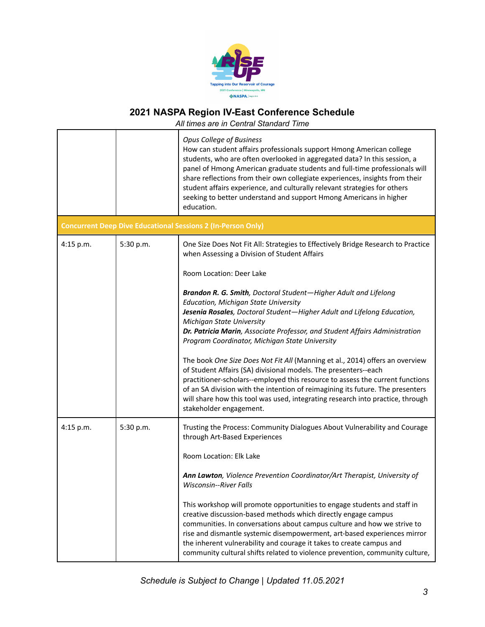

|           |           | <b>Opus College of Business</b><br>How can student affairs professionals support Hmong American college<br>students, who are often overlooked in aggregated data? In this session, a<br>panel of Hmong American graduate students and full-time professionals will<br>share reflections from their own collegiate experiences, insights from their<br>student affairs experience, and culturally relevant strategies for others<br>seeking to better understand and support Hmong Americans in higher<br>education.                                                                                                                                                                                                                                                                                                                                                                                                                                       |
|-----------|-----------|-----------------------------------------------------------------------------------------------------------------------------------------------------------------------------------------------------------------------------------------------------------------------------------------------------------------------------------------------------------------------------------------------------------------------------------------------------------------------------------------------------------------------------------------------------------------------------------------------------------------------------------------------------------------------------------------------------------------------------------------------------------------------------------------------------------------------------------------------------------------------------------------------------------------------------------------------------------|
|           |           | <b>Concurrent Deep Dive Educational Sessions 2 (In-Person Only)</b>                                                                                                                                                                                                                                                                                                                                                                                                                                                                                                                                                                                                                                                                                                                                                                                                                                                                                       |
| 4:15 p.m. | 5:30 p.m. | One Size Does Not Fit All: Strategies to Effectively Bridge Research to Practice<br>when Assessing a Division of Student Affairs<br>Room Location: Deer Lake<br>Brandon R. G. Smith, Doctoral Student-Higher Adult and Lifelong<br>Education, Michigan State University<br>Jesenia Rosales, Doctoral Student-Higher Adult and Lifelong Education,<br><b>Michigan State University</b><br>Dr. Patricia Marin, Associate Professor, and Student Affairs Administration<br>Program Coordinator, Michigan State University<br>The book One Size Does Not Fit All (Manning et al., 2014) offers an overview<br>of Student Affairs (SA) divisional models. The presenters--each<br>practitioner-scholars--employed this resource to assess the current functions<br>of an SA division with the intention of reimagining its future. The presenters<br>will share how this tool was used, integrating research into practice, through<br>stakeholder engagement. |
| 4:15 p.m. | 5:30 p.m. | Trusting the Process: Community Dialogues About Vulnerability and Courage<br>through Art-Based Experiences<br>Room Location: Elk Lake<br>Ann Lawton, Violence Prevention Coordinator/Art Therapist, University of<br>Wisconsin--River Falls<br>This workshop will promote opportunities to engage students and staff in<br>creative discussion-based methods which directly engage campus<br>communities. In conversations about campus culture and how we strive to<br>rise and dismantle systemic disempowerment, art-based experiences mirror<br>the inherent vulnerability and courage it takes to create campus and<br>community cultural shifts related to violence prevention, community culture,                                                                                                                                                                                                                                                  |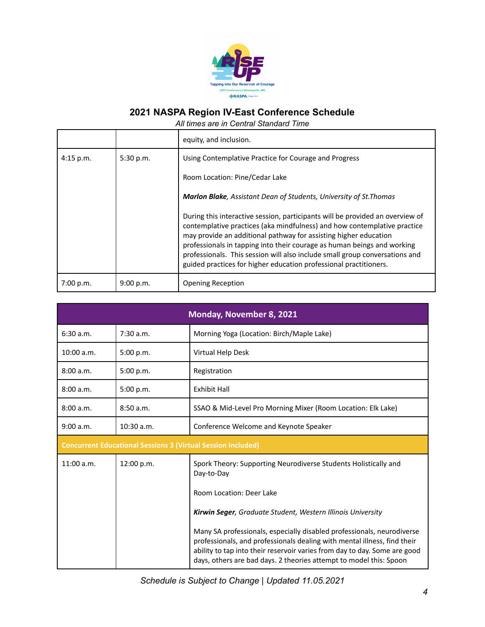

|           |           | equity, and inclusion.                                                                                                                                                                                                                                                                                                                                                                                                                                       |
|-----------|-----------|--------------------------------------------------------------------------------------------------------------------------------------------------------------------------------------------------------------------------------------------------------------------------------------------------------------------------------------------------------------------------------------------------------------------------------------------------------------|
| 4:15 p.m. | 5:30 p.m. | Using Contemplative Practice for Courage and Progress                                                                                                                                                                                                                                                                                                                                                                                                        |
|           |           | Room Location: Pine/Cedar Lake                                                                                                                                                                                                                                                                                                                                                                                                                               |
|           |           | <b>Marlon Blake</b> , Assistant Dean of Students, University of St. Thomas                                                                                                                                                                                                                                                                                                                                                                                   |
|           |           | During this interactive session, participants will be provided an overview of<br>contemplative practices (aka mindfulness) and how contemplative practice<br>may provide an additional pathway for assisting higher education<br>professionals in tapping into their courage as human beings and working<br>professionals. This session will also include small group conversations and<br>guided practices for higher education professional practitioners. |
| 7:00 p.m. | 9:00 p.m. | <b>Opening Reception</b>                                                                                                                                                                                                                                                                                                                                                                                                                                     |

| Monday, November 8, 2021 |                                                                     |                                                                                                                                                                                                                                                                                                       |
|--------------------------|---------------------------------------------------------------------|-------------------------------------------------------------------------------------------------------------------------------------------------------------------------------------------------------------------------------------------------------------------------------------------------------|
| 6:30 a.m.                | 7:30 a.m.                                                           | Morning Yoga (Location: Birch/Maple Lake)                                                                                                                                                                                                                                                             |
| 10:00 a.m.               | 5:00 p.m.                                                           | Virtual Help Desk                                                                                                                                                                                                                                                                                     |
| 8:00a.m.                 | 5:00 p.m.                                                           | Registration                                                                                                                                                                                                                                                                                          |
| 8:00 a.m.                | 5:00 p.m.                                                           | <b>Exhibit Hall</b>                                                                                                                                                                                                                                                                                   |
| 8:00 a.m.                | 8:50a.m.                                                            | SSAO & Mid-Level Pro Morning Mixer (Room Location: Elk Lake)                                                                                                                                                                                                                                          |
| 9:00 a.m.                | $10:30$ a.m.                                                        | Conference Welcome and Keynote Speaker                                                                                                                                                                                                                                                                |
|                          | <b>Concurrent Educational Sessions 3 (Virtual Session Included)</b> |                                                                                                                                                                                                                                                                                                       |
| $11:00$ a.m.             | 12:00 p.m.                                                          | Spork Theory: Supporting Neurodiverse Students Holistically and<br>Day-to-Day                                                                                                                                                                                                                         |
|                          |                                                                     | Room Location: Deer Lake                                                                                                                                                                                                                                                                              |
|                          |                                                                     | Kirwin Seger, Graduate Student, Western Illinois University                                                                                                                                                                                                                                           |
|                          |                                                                     | Many SA professionals, especially disabled professionals, neurodiverse<br>professionals, and professionals dealing with mental illness, find their<br>ability to tap into their reservoir varies from day to day. Some are good<br>days, others are bad days. 2 theories attempt to model this: Spoon |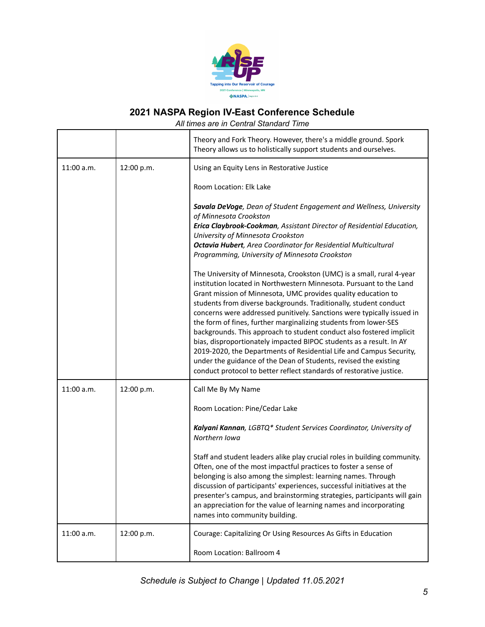

|              |            | Theory and Fork Theory. However, there's a middle ground. Spork<br>Theory allows us to holistically support students and ourselves.                                                                                                                                                                                                                                                                                                                                                                                                                                                                                                                                                                                                                                                                |
|--------------|------------|----------------------------------------------------------------------------------------------------------------------------------------------------------------------------------------------------------------------------------------------------------------------------------------------------------------------------------------------------------------------------------------------------------------------------------------------------------------------------------------------------------------------------------------------------------------------------------------------------------------------------------------------------------------------------------------------------------------------------------------------------------------------------------------------------|
| $11:00$ a.m. | 12:00 p.m. | Using an Equity Lens in Restorative Justice                                                                                                                                                                                                                                                                                                                                                                                                                                                                                                                                                                                                                                                                                                                                                        |
|              |            | Room Location: Elk Lake                                                                                                                                                                                                                                                                                                                                                                                                                                                                                                                                                                                                                                                                                                                                                                            |
|              |            | Savala DeVoge, Dean of Student Engagement and Wellness, University<br>of Minnesota Crookston<br>Erica Claybrook-Cookman, Assistant Director of Residential Education,                                                                                                                                                                                                                                                                                                                                                                                                                                                                                                                                                                                                                              |
|              |            | University of Minnesota Crookston<br><b>Octavia Hubert</b> , Area Coordinator for Residential Multicultural<br>Programming, University of Minnesota Crookston                                                                                                                                                                                                                                                                                                                                                                                                                                                                                                                                                                                                                                      |
|              |            | The University of Minnesota, Crookston (UMC) is a small, rural 4-year<br>institution located in Northwestern Minnesota. Pursuant to the Land<br>Grant mission of Minnesota, UMC provides quality education to<br>students from diverse backgrounds. Traditionally, student conduct<br>concerns were addressed punitively. Sanctions were typically issued in<br>the form of fines, further marginalizing students from lower-SES<br>backgrounds. This approach to student conduct also fostered implicit<br>bias, disproportionately impacted BIPOC students as a result. In AY<br>2019-2020, the Departments of Residential Life and Campus Security,<br>under the guidance of the Dean of Students, revised the existing<br>conduct protocol to better reflect standards of restorative justice. |
| 11:00 a.m.   | 12:00 p.m. | Call Me By My Name                                                                                                                                                                                                                                                                                                                                                                                                                                                                                                                                                                                                                                                                                                                                                                                 |
|              |            | Room Location: Pine/Cedar Lake                                                                                                                                                                                                                                                                                                                                                                                                                                                                                                                                                                                                                                                                                                                                                                     |
|              |            | Kalyani Kannan, LGBTQ* Student Services Coordinator, University of<br>Northern Iowa                                                                                                                                                                                                                                                                                                                                                                                                                                                                                                                                                                                                                                                                                                                |
|              |            | Staff and student leaders alike play crucial roles in building community.<br>Often, one of the most impactful practices to foster a sense of<br>belonging is also among the simplest: learning names. Through<br>discussion of participants' experiences, successful initiatives at the<br>presenter's campus, and brainstorming strategies, participants will gain<br>an appreciation for the value of learning names and incorporating<br>names into community building.                                                                                                                                                                                                                                                                                                                         |
| 11:00 a.m.   | 12:00 p.m. | Courage: Capitalizing Or Using Resources As Gifts in Education                                                                                                                                                                                                                                                                                                                                                                                                                                                                                                                                                                                                                                                                                                                                     |
|              |            | Room Location: Ballroom 4                                                                                                                                                                                                                                                                                                                                                                                                                                                                                                                                                                                                                                                                                                                                                                          |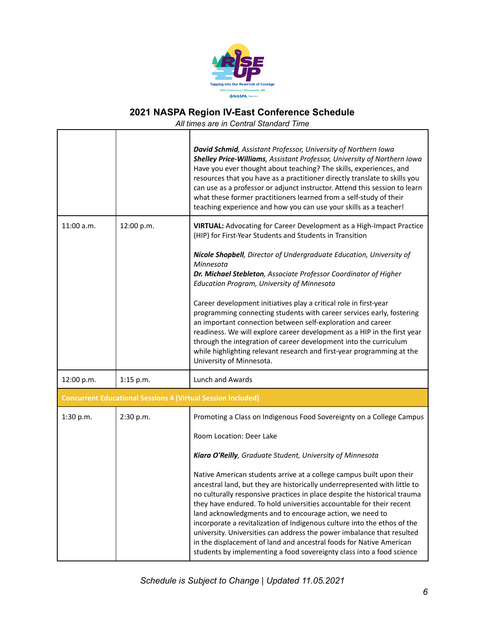

|              |                                                                     | David Schmid, Assistant Professor, University of Northern Iowa<br>Shelley Price-Williams, Assistant Professor, University of Northern Iowa<br>Have you ever thought about teaching? The skills, experiences, and<br>resources that you have as a practitioner directly translate to skills you<br>can use as a professor or adjunct instructor. Attend this session to learn<br>what these former practitioners learned from a self-study of their<br>teaching experience and how you can use your skills as a teacher!                                                                                                                                                  |
|--------------|---------------------------------------------------------------------|--------------------------------------------------------------------------------------------------------------------------------------------------------------------------------------------------------------------------------------------------------------------------------------------------------------------------------------------------------------------------------------------------------------------------------------------------------------------------------------------------------------------------------------------------------------------------------------------------------------------------------------------------------------------------|
| $11:00$ a.m. | 12:00 p.m.                                                          | VIRTUAL: Advocating for Career Development as a High-Impact Practice<br>(HIP) for First-Year Students and Students in Transition<br>Nicole Shopbell, Director of Undergraduate Education, University of                                                                                                                                                                                                                                                                                                                                                                                                                                                                  |
|              |                                                                     | Minnesota<br>Dr. Michael Stebleton, Associate Professor Coordinator of Higher<br>Education Program, University of Minnesota                                                                                                                                                                                                                                                                                                                                                                                                                                                                                                                                              |
|              |                                                                     | Career development initiatives play a critical role in first-year<br>programming connecting students with career services early, fostering<br>an important connection between self-exploration and career<br>readiness. We will explore career development as a HIP in the first year<br>through the integration of career development into the curriculum<br>while highlighting relevant research and first-year programming at the<br>University of Minnesota.                                                                                                                                                                                                         |
| 12:00 p.m.   | 1:15 p.m.                                                           | Lunch and Awards                                                                                                                                                                                                                                                                                                                                                                                                                                                                                                                                                                                                                                                         |
|              | <b>Concurrent Educational Sessions 4 (Virtual Session Included)</b> |                                                                                                                                                                                                                                                                                                                                                                                                                                                                                                                                                                                                                                                                          |
| 1:30 p.m.    | 2:30 p.m.                                                           | Promoting a Class on Indigenous Food Sovereignty on a College Campus                                                                                                                                                                                                                                                                                                                                                                                                                                                                                                                                                                                                     |
|              |                                                                     | Room Location: Deer Lake                                                                                                                                                                                                                                                                                                                                                                                                                                                                                                                                                                                                                                                 |
|              |                                                                     | Kiara O'Reilly, Graduate Student, University of Minnesota                                                                                                                                                                                                                                                                                                                                                                                                                                                                                                                                                                                                                |
|              |                                                                     | Native American students arrive at a college campus built upon their<br>ancestral land, but they are historically underrepresented with little to<br>no culturally responsive practices in place despite the historical trauma<br>they have endured. To hold universities accountable for their recent<br>land acknowledgments and to encourage action, we need to<br>incorporate a revitalization of Indigenous culture into the ethos of the<br>university. Universities can address the power imbalance that resulted<br>in the displacement of land and ancestral foods for Native American<br>students by implementing a food sovereignty class into a food science |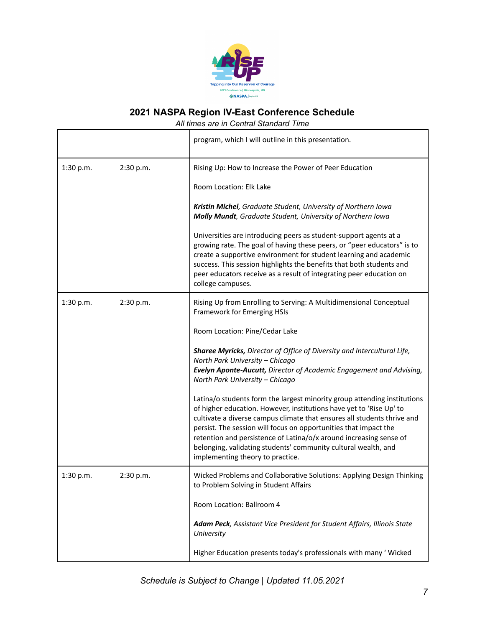

|           |           | program, which I will outline in this presentation.                                                                                                                                                                                                                                                                                                                                                                                                                                                                                                                                                                                                                                                                                                                                                                                       |
|-----------|-----------|-------------------------------------------------------------------------------------------------------------------------------------------------------------------------------------------------------------------------------------------------------------------------------------------------------------------------------------------------------------------------------------------------------------------------------------------------------------------------------------------------------------------------------------------------------------------------------------------------------------------------------------------------------------------------------------------------------------------------------------------------------------------------------------------------------------------------------------------|
| 1:30 p.m. | 2:30 p.m. | Rising Up: How to Increase the Power of Peer Education<br>Room Location: Elk Lake<br>Kristin Michel, Graduate Student, University of Northern Iowa<br>Molly Mundt, Graduate Student, University of Northern Iowa<br>Universities are introducing peers as student-support agents at a<br>growing rate. The goal of having these peers, or "peer educators" is to<br>create a supportive environment for student learning and academic<br>success. This session highlights the benefits that both students and<br>peer educators receive as a result of integrating peer education on<br>college campuses.                                                                                                                                                                                                                                 |
| 1:30 p.m. | 2:30 p.m. | Rising Up from Enrolling to Serving: A Multidimensional Conceptual<br>Framework for Emerging HSIs<br>Room Location: Pine/Cedar Lake<br>Sharee Myricks, Director of Office of Diversity and Intercultural Life,<br>North Park University - Chicago<br>Evelyn Aponte-Aucutt, Director of Academic Engagement and Advising,<br>North Park University - Chicago<br>Latina/o students form the largest minority group attending institutions<br>of higher education. However, institutions have yet to 'Rise Up' to<br>cultivate a diverse campus climate that ensures all students thrive and<br>persist. The session will focus on opportunities that impact the<br>retention and persistence of Latina/o/x around increasing sense of<br>belonging, validating students' community cultural wealth, and<br>implementing theory to practice. |
| 1:30 p.m. | 2:30 p.m. | Wicked Problems and Collaborative Solutions: Applying Design Thinking<br>to Problem Solving in Student Affairs<br>Room Location: Ballroom 4<br>Adam Peck, Assistant Vice President for Student Affairs, Illinois State<br>University<br>Higher Education presents today's professionals with many ' Wicked                                                                                                                                                                                                                                                                                                                                                                                                                                                                                                                                |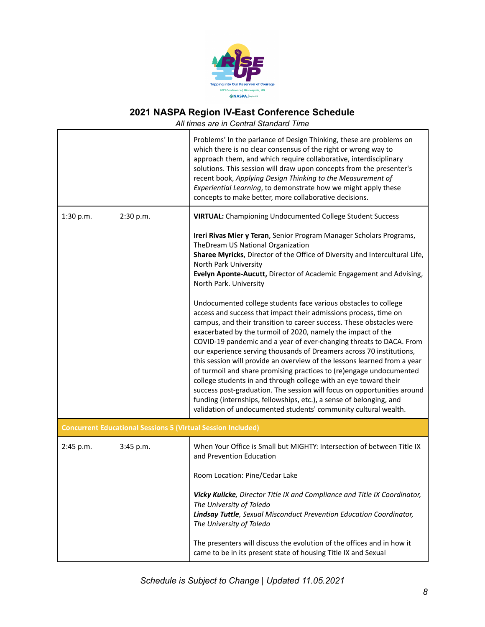

|           |                                                                     | Problems' In the parlance of Design Thinking, these are problems on<br>which there is no clear consensus of the right or wrong way to<br>approach them, and which require collaborative, interdisciplinary<br>solutions. This session will draw upon concepts from the presenter's<br>recent book, Applying Design Thinking to the Measurement of<br>Experiential Learning, to demonstrate how we might apply these<br>concepts to make better, more collaborative decisions.                                                                                                                                                                                                                                                                                                                                                                                          |
|-----------|---------------------------------------------------------------------|------------------------------------------------------------------------------------------------------------------------------------------------------------------------------------------------------------------------------------------------------------------------------------------------------------------------------------------------------------------------------------------------------------------------------------------------------------------------------------------------------------------------------------------------------------------------------------------------------------------------------------------------------------------------------------------------------------------------------------------------------------------------------------------------------------------------------------------------------------------------|
| 1:30 p.m. | 2:30 p.m.                                                           | <b>VIRTUAL:</b> Championing Undocumented College Student Success                                                                                                                                                                                                                                                                                                                                                                                                                                                                                                                                                                                                                                                                                                                                                                                                       |
|           |                                                                     | Ireri Rivas Mier y Teran, Senior Program Manager Scholars Programs,<br>TheDream US National Organization<br>Sharee Myricks, Director of the Office of Diversity and Intercultural Life,<br>North Park University<br>Evelyn Aponte-Aucutt, Director of Academic Engagement and Advising,<br>North Park. University                                                                                                                                                                                                                                                                                                                                                                                                                                                                                                                                                      |
|           |                                                                     | Undocumented college students face various obstacles to college<br>access and success that impact their admissions process, time on<br>campus, and their transition to career success. These obstacles were<br>exacerbated by the turmoil of 2020, namely the impact of the<br>COVID-19 pandemic and a year of ever-changing threats to DACA. From<br>our experience serving thousands of Dreamers across 70 institutions,<br>this session will provide an overview of the lessons learned from a year<br>of turmoil and share promising practices to (re)engage undocumented<br>college students in and through college with an eye toward their<br>success post-graduation. The session will focus on opportunities around<br>funding (internships, fellowships, etc.), a sense of belonging, and<br>validation of undocumented students' community cultural wealth. |
|           | <b>Concurrent Educational Sessions 5 (Virtual Session Included)</b> |                                                                                                                                                                                                                                                                                                                                                                                                                                                                                                                                                                                                                                                                                                                                                                                                                                                                        |
| 2:45 p.m. | 3:45 p.m.                                                           | When Your Office is Small but MIGHTY: Intersection of between Title IX<br>and Prevention Education<br>Room Location: Pine/Cedar Lake                                                                                                                                                                                                                                                                                                                                                                                                                                                                                                                                                                                                                                                                                                                                   |
|           |                                                                     | Vicky Kulicke, Director Title IX and Compliance and Title IX Coordinator,<br>The University of Toledo<br>Lindsay Tuttle, Sexual Misconduct Prevention Education Coordinator,<br>The University of Toledo                                                                                                                                                                                                                                                                                                                                                                                                                                                                                                                                                                                                                                                               |
|           |                                                                     | The presenters will discuss the evolution of the offices and in how it<br>came to be in its present state of housing Title IX and Sexual                                                                                                                                                                                                                                                                                                                                                                                                                                                                                                                                                                                                                                                                                                                               |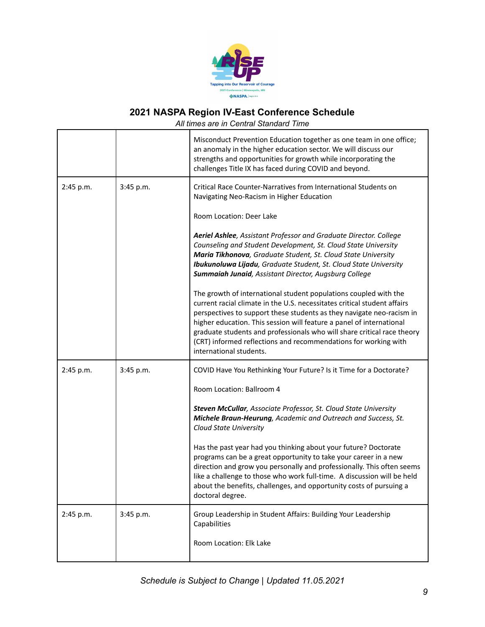

|           |           | Misconduct Prevention Education together as one team in one office;<br>an anomaly in the higher education sector. We will discuss our<br>strengths and opportunities for growth while incorporating the<br>challenges Title IX has faced during COVID and beyond.                                                                                                                                                                                                      |
|-----------|-----------|------------------------------------------------------------------------------------------------------------------------------------------------------------------------------------------------------------------------------------------------------------------------------------------------------------------------------------------------------------------------------------------------------------------------------------------------------------------------|
| 2:45 p.m. | 3:45 p.m. | Critical Race Counter-Narratives from International Students on<br>Navigating Neo-Racism in Higher Education                                                                                                                                                                                                                                                                                                                                                           |
|           |           | Room Location: Deer Lake                                                                                                                                                                                                                                                                                                                                                                                                                                               |
|           |           | Aeriel Ashlee, Assistant Professor and Graduate Director. College<br>Counseling and Student Development, St. Cloud State University<br>Maria Tikhonova, Graduate Student, St. Cloud State University<br>Ibukunoluwa Lijadu, Graduate Student, St. Cloud State University<br>Summaiah Junaid, Assistant Director, Augsburg College                                                                                                                                      |
|           |           | The growth of international student populations coupled with the<br>current racial climate in the U.S. necessitates critical student affairs<br>perspectives to support these students as they navigate neo-racism in<br>higher education. This session will feature a panel of international<br>graduate students and professionals who will share critical race theory<br>(CRT) informed reflections and recommendations for working with<br>international students. |
| 2:45 p.m. | 3:45 p.m. | COVID Have You Rethinking Your Future? Is it Time for a Doctorate?                                                                                                                                                                                                                                                                                                                                                                                                     |
|           |           | Room Location: Ballroom 4                                                                                                                                                                                                                                                                                                                                                                                                                                              |
|           |           | Steven McCullar, Associate Professor, St. Cloud State University<br>Michele Braun-Heurung, Academic and Outreach and Success, St.<br><b>Cloud State University</b>                                                                                                                                                                                                                                                                                                     |
|           |           | Has the past year had you thinking about your future? Doctorate<br>programs can be a great opportunity to take your career in a new<br>direction and grow you personally and professionally. This often seems<br>like a challenge to those who work full-time. A discussion will be held<br>about the benefits, challenges, and opportunity costs of pursuing a<br>doctoral degree.                                                                                    |
| 2:45 p.m. | 3:45 p.m. | Group Leadership in Student Affairs: Building Your Leadership<br>Capabilities                                                                                                                                                                                                                                                                                                                                                                                          |
|           |           | Room Location: Elk Lake                                                                                                                                                                                                                                                                                                                                                                                                                                                |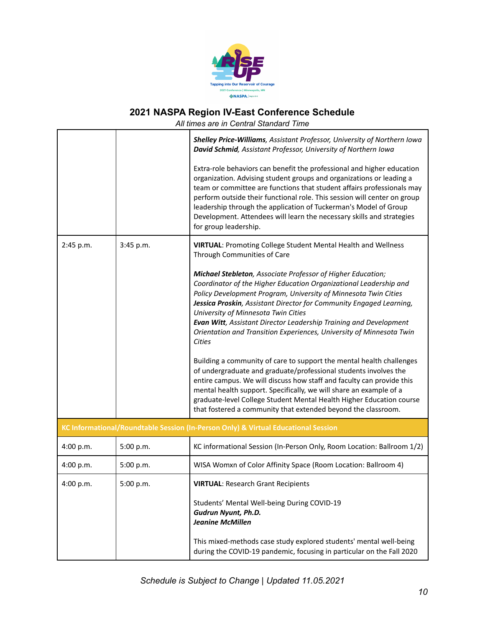

|           |           | Shelley Price-Williams, Assistant Professor, University of Northern Iowa<br>David Schmid, Assistant Professor, University of Northern Iowa                                                                                                                                                                                                                                                                                                                                                                                                                                                                                                                                                                                                                                                                                                                                                                          |
|-----------|-----------|---------------------------------------------------------------------------------------------------------------------------------------------------------------------------------------------------------------------------------------------------------------------------------------------------------------------------------------------------------------------------------------------------------------------------------------------------------------------------------------------------------------------------------------------------------------------------------------------------------------------------------------------------------------------------------------------------------------------------------------------------------------------------------------------------------------------------------------------------------------------------------------------------------------------|
|           |           | Extra-role behaviors can benefit the professional and higher education<br>organization. Advising student groups and organizations or leading a<br>team or committee are functions that student affairs professionals may<br>perform outside their functional role. This session will center on group<br>leadership through the application of Tuckerman's Model of Group<br>Development. Attendees will learn the necessary skills and strategies<br>for group leadership.                                                                                                                                                                                                                                                                                                                                                                                                                                          |
| 2:45 p.m. | 3:45 p.m. | <b>VIRTUAL: Promoting College Student Mental Health and Wellness</b><br>Through Communities of Care                                                                                                                                                                                                                                                                                                                                                                                                                                                                                                                                                                                                                                                                                                                                                                                                                 |
|           |           | Michael Stebleton, Associate Professor of Higher Education;<br>Coordinator of the Higher Education Organizational Leadership and<br>Policy Development Program, University of Minnesota Twin Cities<br>Jessica Proskin, Assistant Director for Community Engaged Learning,<br>University of Minnesota Twin Cities<br>Evan Witt, Assistant Director Leadership Training and Development<br>Orientation and Transition Experiences, University of Minnesota Twin<br><b>Cities</b><br>Building a community of care to support the mental health challenges<br>of undergraduate and graduate/professional students involves the<br>entire campus. We will discuss how staff and faculty can provide this<br>mental health support. Specifically, we will share an example of a<br>graduate-level College Student Mental Health Higher Education course<br>that fostered a community that extended beyond the classroom. |
|           |           | KC Informational/Roundtable Session (In-Person Only) & Virtual Educational Session                                                                                                                                                                                                                                                                                                                                                                                                                                                                                                                                                                                                                                                                                                                                                                                                                                  |
| 4:00 p.m. | 5:00 p.m. | KC informational Session (In-Person Only, Room Location: Ballroom 1/2)                                                                                                                                                                                                                                                                                                                                                                                                                                                                                                                                                                                                                                                                                                                                                                                                                                              |
| 4:00 p.m. | 5:00 p.m. | WISA Womxn of Color Affinity Space (Room Location: Ballroom 4)                                                                                                                                                                                                                                                                                                                                                                                                                                                                                                                                                                                                                                                                                                                                                                                                                                                      |
| 4:00 p.m. | 5:00 p.m. | <b>VIRTUAL: Research Grant Recipients</b>                                                                                                                                                                                                                                                                                                                                                                                                                                                                                                                                                                                                                                                                                                                                                                                                                                                                           |
|           |           | Students' Mental Well-being During COVID-19<br>Gudrun Nyunt, Ph.D.<br><b>Jeanine McMillen</b>                                                                                                                                                                                                                                                                                                                                                                                                                                                                                                                                                                                                                                                                                                                                                                                                                       |
|           |           | This mixed-methods case study explored students' mental well-being<br>during the COVID-19 pandemic, focusing in particular on the Fall 2020                                                                                                                                                                                                                                                                                                                                                                                                                                                                                                                                                                                                                                                                                                                                                                         |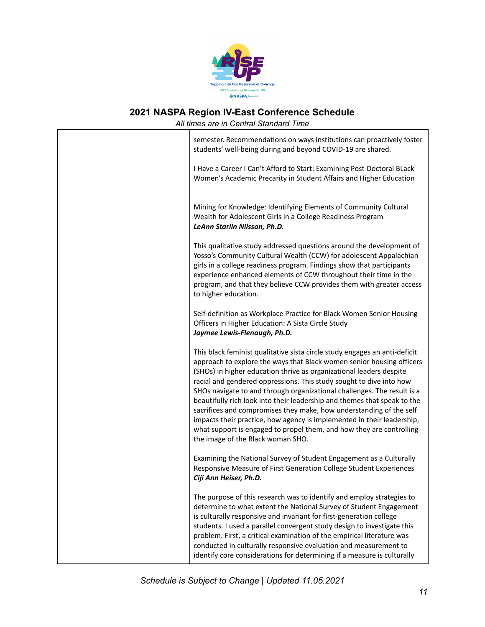

| All umes are in Central Standard Time                                                                                                                                                                                                                                                                                                                                                                                                                                                                                                                                                                                                                                                                                  |
|------------------------------------------------------------------------------------------------------------------------------------------------------------------------------------------------------------------------------------------------------------------------------------------------------------------------------------------------------------------------------------------------------------------------------------------------------------------------------------------------------------------------------------------------------------------------------------------------------------------------------------------------------------------------------------------------------------------------|
| semester. Recommendations on ways institutions can proactively foster<br>students' well-being during and beyond COVID-19 are shared.                                                                                                                                                                                                                                                                                                                                                                                                                                                                                                                                                                                   |
| I Have a Career I Can't Afford to Start: Examining Post-Doctoral BLack<br>Women's Academic Precarity in Student Affairs and Higher Education                                                                                                                                                                                                                                                                                                                                                                                                                                                                                                                                                                           |
| Mining for Knowledge: Identifying Elements of Community Cultural<br>Wealth for Adolescent Girls in a College Readiness Program<br>LeAnn Starlin Nilsson, Ph.D.                                                                                                                                                                                                                                                                                                                                                                                                                                                                                                                                                         |
| This qualitative study addressed questions around the development of<br>Yosso's Community Cultural Wealth (CCW) for adolescent Appalachian<br>girls in a college readiness program. Findings show that participants<br>experience enhanced elements of CCW throughout their time in the<br>program, and that they believe CCW provides them with greater access<br>to higher education.                                                                                                                                                                                                                                                                                                                                |
| Self-definition as Workplace Practice for Black Women Senior Housing<br>Officers in Higher Education: A Sista Circle Study<br>Jaymee Lewis-Flenaugh, Ph.D.                                                                                                                                                                                                                                                                                                                                                                                                                                                                                                                                                             |
| This black feminist qualitative sista circle study engages an anti-deficit<br>approach to explore the ways that Black women senior housing officers<br>(SHOs) in higher education thrive as organizational leaders despite<br>racial and gendered oppressions. This study sought to dive into how<br>SHOs navigate to and through organizational challenges. The result is a<br>beautifully rich look into their leadership and themes that speak to the<br>sacrifices and compromises they make, how understanding of the self<br>impacts their practice, how agency is implemented in their leadership,<br>what support is engaged to propel them, and how they are controlling<br>the image of the Black woman SHO. |
| Examining the National Survey of Student Engagement as a Culturally<br>Responsive Measure of First Generation College Student Experiences<br>Ciji Ann Heiser, Ph.D.                                                                                                                                                                                                                                                                                                                                                                                                                                                                                                                                                    |
| The purpose of this research was to identify and employ strategies to<br>determine to what extent the National Survey of Student Engagement<br>is culturally responsive and invariant for first-generation college<br>students. I used a parallel convergent study design to investigate this<br>problem. First, a critical examination of the empirical literature was<br>conducted in culturally responsive evaluation and measurement to<br>identify core considerations for determining if a measure is culturally                                                                                                                                                                                                 |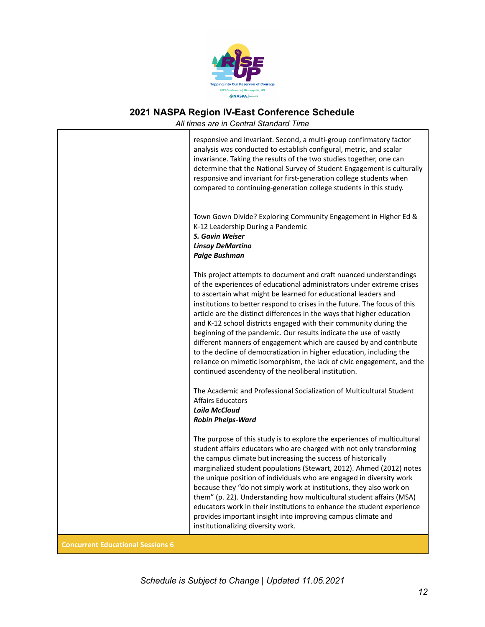

|                                          | All times are in Central Standard Time                                                                                                                                                                                                                                                                                                                                                                                                                                                                                                                                                                                                                                                                                                                                                        |
|------------------------------------------|-----------------------------------------------------------------------------------------------------------------------------------------------------------------------------------------------------------------------------------------------------------------------------------------------------------------------------------------------------------------------------------------------------------------------------------------------------------------------------------------------------------------------------------------------------------------------------------------------------------------------------------------------------------------------------------------------------------------------------------------------------------------------------------------------|
|                                          | responsive and invariant. Second, a multi-group confirmatory factor<br>analysis was conducted to establish configural, metric, and scalar<br>invariance. Taking the results of the two studies together, one can<br>determine that the National Survey of Student Engagement is culturally<br>responsive and invariant for first-generation college students when<br>compared to continuing-generation college students in this study.                                                                                                                                                                                                                                                                                                                                                        |
|                                          | Town Gown Divide? Exploring Community Engagement in Higher Ed &<br>K-12 Leadership During a Pandemic<br>S. Gavin Weiser<br><b>Linsay DeMartino</b><br><b>Paige Bushman</b>                                                                                                                                                                                                                                                                                                                                                                                                                                                                                                                                                                                                                    |
|                                          | This project attempts to document and craft nuanced understandings<br>of the experiences of educational administrators under extreme crises<br>to ascertain what might be learned for educational leaders and<br>institutions to better respond to crises in the future. The focus of this<br>article are the distinct differences in the ways that higher education<br>and K-12 school districts engaged with their community during the<br>beginning of the pandemic. Our results indicate the use of vastly<br>different manners of engagement which are caused by and contribute<br>to the decline of democratization in higher education, including the<br>reliance on mimetic isomorphism, the lack of civic engagement, and the<br>continued ascendency of the neoliberal institution. |
|                                          | The Academic and Professional Socialization of Multicultural Student<br><b>Affairs Educators</b><br><b>Laila McCloud</b><br><b>Robin Phelps-Ward</b>                                                                                                                                                                                                                                                                                                                                                                                                                                                                                                                                                                                                                                          |
|                                          | The purpose of this study is to explore the experiences of multicultural<br>student affairs educators who are charged with not only transforming<br>the campus climate but increasing the success of historically<br>marginalized student populations (Stewart, 2012). Ahmed (2012) notes<br>the unique position of individuals who are engaged in diversity work<br>because they "do not simply work at institutions, they also work on<br>them" (p. 22). Understanding how multicultural student affairs (MSA)<br>educators work in their institutions to enhance the student experience<br>provides important insight into improving campus climate and<br>institutionalizing diversity work.                                                                                              |
| <b>Concurrent Educational Sessions 6</b> |                                                                                                                                                                                                                                                                                                                                                                                                                                                                                                                                                                                                                                                                                                                                                                                               |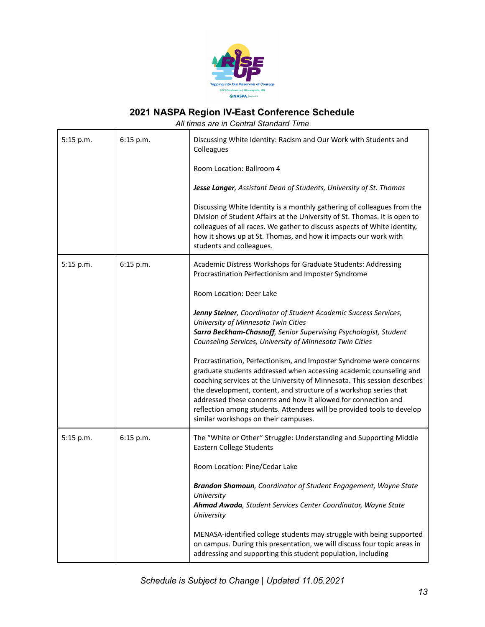

| 5:15 p.m. | 6:15 p.m. | Discussing White Identity: Racism and Our Work with Students and<br>Colleagues                                                                                                                                                                                                                                                                                                                                                                                                 |
|-----------|-----------|--------------------------------------------------------------------------------------------------------------------------------------------------------------------------------------------------------------------------------------------------------------------------------------------------------------------------------------------------------------------------------------------------------------------------------------------------------------------------------|
|           |           | Room Location: Ballroom 4                                                                                                                                                                                                                                                                                                                                                                                                                                                      |
|           |           | Jesse Langer, Assistant Dean of Students, University of St. Thomas                                                                                                                                                                                                                                                                                                                                                                                                             |
|           |           | Discussing White Identity is a monthly gathering of colleagues from the<br>Division of Student Affairs at the University of St. Thomas. It is open to<br>colleagues of all races. We gather to discuss aspects of White identity,<br>how it shows up at St. Thomas, and how it impacts our work with<br>students and colleagues.                                                                                                                                               |
| 5:15 p.m. | 6:15 p.m. | Academic Distress Workshops for Graduate Students: Addressing<br>Procrastination Perfectionism and Imposter Syndrome                                                                                                                                                                                                                                                                                                                                                           |
|           |           | Room Location: Deer Lake                                                                                                                                                                                                                                                                                                                                                                                                                                                       |
|           |           | Jenny Steiner, Coordinator of Student Academic Success Services,<br>University of Minnesota Twin Cities<br>Sarra Beckham-Chasnoff, Senior Supervising Psychologist, Student<br>Counseling Services, University of Minnesota Twin Cities                                                                                                                                                                                                                                        |
|           |           | Procrastination, Perfectionism, and Imposter Syndrome were concerns<br>graduate students addressed when accessing academic counseling and<br>coaching services at the University of Minnesota. This session describes<br>the development, content, and structure of a workshop series that<br>addressed these concerns and how it allowed for connection and<br>reflection among students. Attendees will be provided tools to develop<br>similar workshops on their campuses. |
| 5:15 p.m. | 6:15 p.m. | The "White or Other" Struggle: Understanding and Supporting Middle<br>Eastern College Students                                                                                                                                                                                                                                                                                                                                                                                 |
|           |           | Room Location: Pine/Cedar Lake                                                                                                                                                                                                                                                                                                                                                                                                                                                 |
|           |           | Brandon Shamoun, Coordinator of Student Engagement, Wayne State<br>University<br>Ahmad Awada, Student Services Center Coordinator, Wayne State<br>University                                                                                                                                                                                                                                                                                                                   |
|           |           | MENASA-identified college students may struggle with being supported<br>on campus. During this presentation, we will discuss four topic areas in<br>addressing and supporting this student population, including                                                                                                                                                                                                                                                               |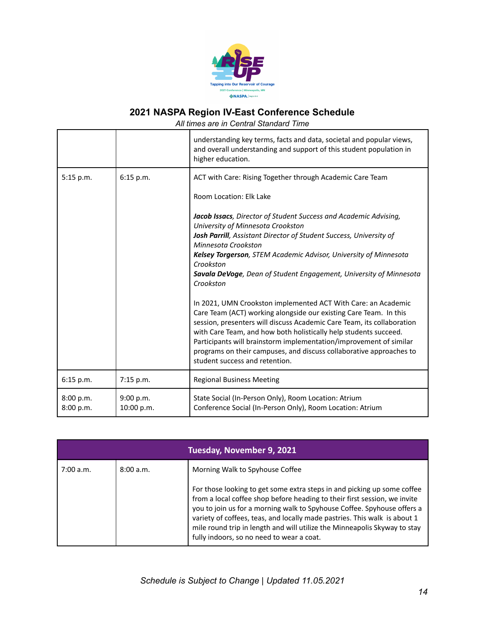

|                        |                         | understanding key terms, facts and data, societal and popular views,<br>and overall understanding and support of this student population in<br>higher education.                                                                                                                                                                                                                                                                                                                                             |
|------------------------|-------------------------|--------------------------------------------------------------------------------------------------------------------------------------------------------------------------------------------------------------------------------------------------------------------------------------------------------------------------------------------------------------------------------------------------------------------------------------------------------------------------------------------------------------|
| 5:15 p.m.              | 6:15 p.m.               | ACT with Care: Rising Together through Academic Care Team                                                                                                                                                                                                                                                                                                                                                                                                                                                    |
|                        |                         | Room Location: Elk Lake                                                                                                                                                                                                                                                                                                                                                                                                                                                                                      |
|                        |                         | Jacob Issacs, Director of Student Success and Academic Advising,<br>University of Minnesota Crookston<br>Josh Parrill, Assistant Director of Student Success, University of<br>Minnesota Crookston<br>Kelsey Torgerson, STEM Academic Advisor, University of Minnesota<br>Crookston<br>Savala DeVoge, Dean of Student Engagement, University of Minnesota<br>Crookston<br>In 2021, UMN Crookston implemented ACT With Care: an Academic<br>Care Team (ACT) working alongside our existing Care Team. In this |
|                        |                         | session, presenters will discuss Academic Care Team, its collaboration<br>with Care Team, and how both holistically help students succeed.<br>Participants will brainstorm implementation/improvement of similar<br>programs on their campuses, and discuss collaborative approaches to<br>student success and retention.                                                                                                                                                                                    |
| 6:15 p.m.              | 7:15 p.m.               | <b>Regional Business Meeting</b>                                                                                                                                                                                                                                                                                                                                                                                                                                                                             |
| 8:00 p.m.<br>8:00 p.m. | 9:00 p.m.<br>10:00 p.m. | State Social (In-Person Only), Room Location: Atrium<br>Conference Social (In-Person Only), Room Location: Atrium                                                                                                                                                                                                                                                                                                                                                                                            |

| Tuesday, November 9, 2021 |          |                                                                                                                                                                                                                                                                                                                                                                                                                                        |
|---------------------------|----------|----------------------------------------------------------------------------------------------------------------------------------------------------------------------------------------------------------------------------------------------------------------------------------------------------------------------------------------------------------------------------------------------------------------------------------------|
| 7:00 a.m.                 | 8:00a.m. | Morning Walk to Spyhouse Coffee                                                                                                                                                                                                                                                                                                                                                                                                        |
|                           |          | For those looking to get some extra steps in and picking up some coffee<br>from a local coffee shop before heading to their first session, we invite<br>you to join us for a morning walk to Spyhouse Coffee. Spyhouse offers a<br>variety of coffees, teas, and locally made pastries. This walk is about 1<br>mile round trip in length and will utilize the Minneapolis Skyway to stay<br>fully indoors, so no need to wear a coat. |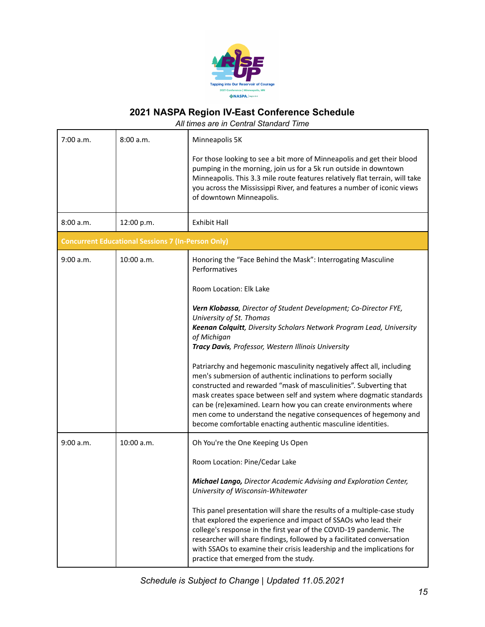

| 7:00 a.m. | 8:00 a.m.                                                 | Minneapolis 5K<br>For those looking to see a bit more of Minneapolis and get their blood<br>pumping in the morning, join us for a 5k run outside in downtown<br>Minneapolis. This 3.3 mile route features relatively flat terrain, will take<br>you across the Mississippi River, and features a number of iconic views<br>of downtown Minneapolis.                                                                                                                                                                             |
|-----------|-----------------------------------------------------------|---------------------------------------------------------------------------------------------------------------------------------------------------------------------------------------------------------------------------------------------------------------------------------------------------------------------------------------------------------------------------------------------------------------------------------------------------------------------------------------------------------------------------------|
| 8:00 a.m. | 12:00 p.m.                                                | <b>Exhibit Hall</b>                                                                                                                                                                                                                                                                                                                                                                                                                                                                                                             |
|           | <b>Concurrent Educational Sessions 7 (In-Person Only)</b> |                                                                                                                                                                                                                                                                                                                                                                                                                                                                                                                                 |
| 9:00 a.m. | 10:00 a.m.                                                | Honoring the "Face Behind the Mask": Interrogating Masculine<br>Performatives<br>Room Location: Elk Lake                                                                                                                                                                                                                                                                                                                                                                                                                        |
|           |                                                           | Vern Klobassa, Director of Student Development; Co-Director FYE,<br>University of St. Thomas<br>Keenan Colquitt, Diversity Scholars Network Program Lead, University<br>of Michigan<br>Tracy Davis, Professor, Western Illinois University                                                                                                                                                                                                                                                                                      |
|           |                                                           | Patriarchy and hegemonic masculinity negatively affect all, including<br>men's submersion of authentic inclinations to perform socially<br>constructed and rewarded "mask of masculinities". Subverting that<br>mask creates space between self and system where dogmatic standards<br>can be (re)examined. Learn how you can create environments where<br>men come to understand the negative consequences of hegemony and<br>become comfortable enacting authentic masculine identities.                                      |
| 9:00 a.m. | 10:00 a.m.                                                | Oh You're the One Keeping Us Open<br>Room Location: Pine/Cedar Lake                                                                                                                                                                                                                                                                                                                                                                                                                                                             |
|           |                                                           | <b>Michael Lango, Director Academic Advising and Exploration Center,</b><br>University of Wisconsin-Whitewater<br>This panel presentation will share the results of a multiple-case study<br>that explored the experience and impact of SSAOs who lead their<br>college's response in the first year of the COVID-19 pandemic. The<br>researcher will share findings, followed by a facilitated conversation<br>with SSAOs to examine their crisis leadership and the implications for<br>practice that emerged from the study. |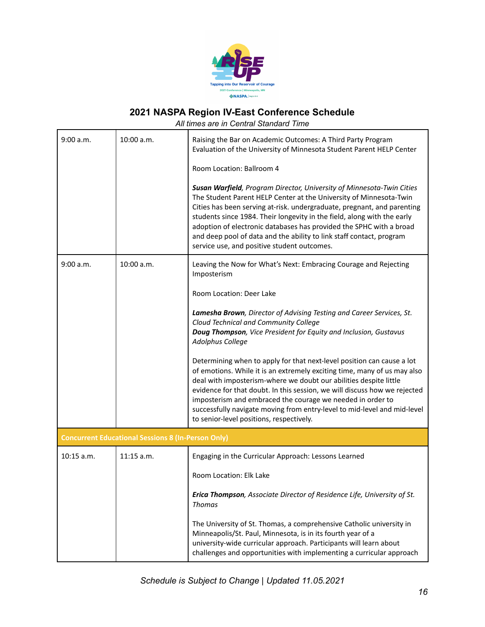

| 9:00 a.m.                                                 | 10:00 a.m.   | Raising the Bar on Academic Outcomes: A Third Party Program<br>Evaluation of the University of Minnesota Student Parent HELP Center                                                                                                                                                                                                                                                                                                                                                             |
|-----------------------------------------------------------|--------------|-------------------------------------------------------------------------------------------------------------------------------------------------------------------------------------------------------------------------------------------------------------------------------------------------------------------------------------------------------------------------------------------------------------------------------------------------------------------------------------------------|
|                                                           |              | Room Location: Ballroom 4                                                                                                                                                                                                                                                                                                                                                                                                                                                                       |
|                                                           |              | Susan Warfield, Program Director, University of Minnesota-Twin Cities<br>The Student Parent HELP Center at the University of Minnesota-Twin<br>Cities has been serving at-risk. undergraduate, pregnant, and parenting<br>students since 1984. Their longevity in the field, along with the early<br>adoption of electronic databases has provided the SPHC with a broad<br>and deep pool of data and the ability to link staff contact, program<br>service use, and positive student outcomes. |
| 9:00 a.m.                                                 | 10:00 a.m.   | Leaving the Now for What's Next: Embracing Courage and Rejecting<br>Imposterism                                                                                                                                                                                                                                                                                                                                                                                                                 |
|                                                           |              | Room Location: Deer Lake                                                                                                                                                                                                                                                                                                                                                                                                                                                                        |
|                                                           |              | Lamesha Brown, Director of Advising Testing and Career Services, St.<br>Cloud Technical and Community College<br>Doug Thompson, Vice President for Equity and Inclusion, Gustavus<br>Adolphus College                                                                                                                                                                                                                                                                                           |
|                                                           |              | Determining when to apply for that next-level position can cause a lot<br>of emotions. While it is an extremely exciting time, many of us may also<br>deal with imposterism-where we doubt our abilities despite little<br>evidence for that doubt. In this session, we will discuss how we rejected<br>imposterism and embraced the courage we needed in order to<br>successfully navigate moving from entry-level to mid-level and mid-level<br>to senior-level positions, respectively.      |
| <b>Concurrent Educational Sessions 8 (In-Person Only)</b> |              |                                                                                                                                                                                                                                                                                                                                                                                                                                                                                                 |
| $10:15$ a.m.                                              | $11:15$ a.m. | Engaging in the Curricular Approach: Lessons Learned                                                                                                                                                                                                                                                                                                                                                                                                                                            |
|                                                           |              | Room Location: Elk Lake                                                                                                                                                                                                                                                                                                                                                                                                                                                                         |
|                                                           |              | Erica Thompson, Associate Director of Residence Life, University of St.<br><b>Thomas</b>                                                                                                                                                                                                                                                                                                                                                                                                        |
|                                                           |              | The University of St. Thomas, a comprehensive Catholic university in<br>Minneapolis/St. Paul, Minnesota, is in its fourth year of a<br>university-wide curricular approach. Participants will learn about<br>challenges and opportunities with implementing a curricular approach                                                                                                                                                                                                               |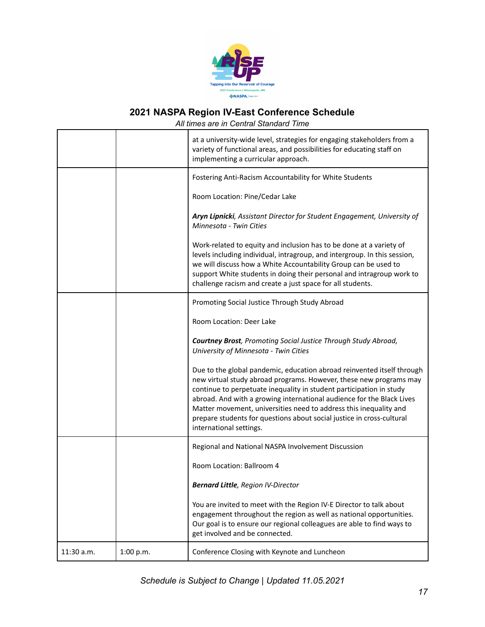

|            |           | at a university-wide level, strategies for engaging stakeholders from a<br>variety of functional areas, and possibilities for educating staff on<br>implementing a curricular approach.                                                                                                                                                                                                                                                                               |
|------------|-----------|-----------------------------------------------------------------------------------------------------------------------------------------------------------------------------------------------------------------------------------------------------------------------------------------------------------------------------------------------------------------------------------------------------------------------------------------------------------------------|
|            |           | Fostering Anti-Racism Accountability for White Students                                                                                                                                                                                                                                                                                                                                                                                                               |
|            |           | Room Location: Pine/Cedar Lake                                                                                                                                                                                                                                                                                                                                                                                                                                        |
|            |           | Aryn Lipnicki, Assistant Director for Student Engagement, University of<br>Minnesota - Twin Cities                                                                                                                                                                                                                                                                                                                                                                    |
|            |           | Work-related to equity and inclusion has to be done at a variety of<br>levels including individual, intragroup, and intergroup. In this session,<br>we will discuss how a White Accountability Group can be used to<br>support White students in doing their personal and intragroup work to<br>challenge racism and create a just space for all students.                                                                                                            |
|            |           | Promoting Social Justice Through Study Abroad                                                                                                                                                                                                                                                                                                                                                                                                                         |
|            |           | Room Location: Deer Lake                                                                                                                                                                                                                                                                                                                                                                                                                                              |
|            |           | <b>Courtney Brost</b> , Promoting Social Justice Through Study Abroad,<br>University of Minnesota - Twin Cities                                                                                                                                                                                                                                                                                                                                                       |
|            |           | Due to the global pandemic, education abroad reinvented itself through<br>new virtual study abroad programs. However, these new programs may<br>continue to perpetuate inequality in student participation in study<br>abroad. And with a growing international audience for the Black Lives<br>Matter movement, universities need to address this inequality and<br>prepare students for questions about social justice in cross-cultural<br>international settings. |
|            |           | Regional and National NASPA Involvement Discussion                                                                                                                                                                                                                                                                                                                                                                                                                    |
|            |           | Room Location: Ballroom 4                                                                                                                                                                                                                                                                                                                                                                                                                                             |
|            |           | <b>Bernard Little</b> , Region IV-Director                                                                                                                                                                                                                                                                                                                                                                                                                            |
|            |           | You are invited to meet with the Region IV-E Director to talk about<br>engagement throughout the region as well as national opportunities.<br>Our goal is to ensure our regional colleagues are able to find ways to<br>get involved and be connected.                                                                                                                                                                                                                |
| 11:30 a.m. | 1:00 p.m. | Conference Closing with Keynote and Luncheon                                                                                                                                                                                                                                                                                                                                                                                                                          |